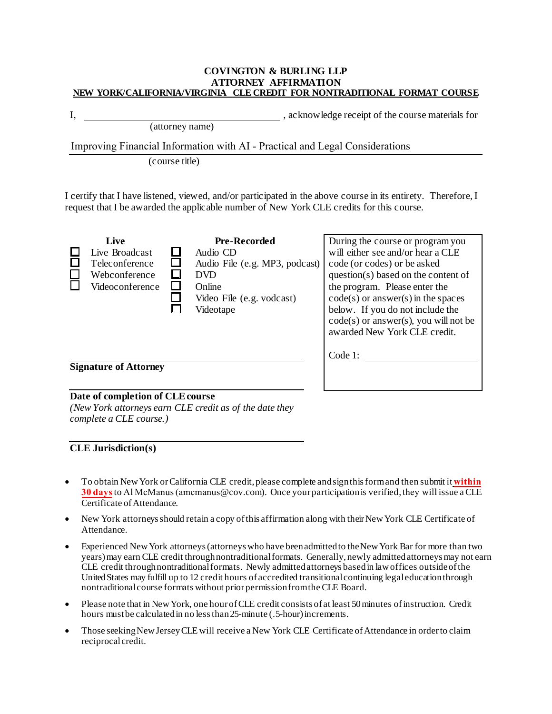#### **COVINGTON & BURLING LLP ATTORNEY AFFIRMATION NEW YORK/CALIFORNIA/VIRGINIA CLE CREDIT FOR NONTRADITIONAL FORMAT COURSE**

| ۰, |              |
|----|--------------|
|    | ۰,<br>٦<br>÷ |

I, , acknowledge receipt of the course materials for

(attorney name)

Improving Financial Information with AI - Practical and Legal Considerations

(course title)

I certify that I have listened, viewed, and/or participated in the above course in its entirety. Therefore, I request that I be awarded the applicable number of New York CLE credits for this course.

| Live<br>Live Broadcast<br>Teleconference<br>Webconference<br>Videoconference | <b>Pre-Recorded</b><br>Audio CD<br>Audio File (e.g. MP3, podcast)<br><b>DVD</b><br>Online<br>Video File (e.g. vodcast)<br>Videotape | During the course or program you<br>will either see and/or hear a CLE<br>code (or codes) or be asked<br>question(s) based on the content of<br>the program. Please enter the<br>$code(s)$ or answer $(s)$ in the spaces<br>below. If you do not include the<br>$code(s)$ or answer(s), you will not be<br>awarded New York CLE credit.<br>Code 1: |
|------------------------------------------------------------------------------|-------------------------------------------------------------------------------------------------------------------------------------|---------------------------------------------------------------------------------------------------------------------------------------------------------------------------------------------------------------------------------------------------------------------------------------------------------------------------------------------------|
| <b>Signature of Attorney</b>                                                 |                                                                                                                                     |                                                                                                                                                                                                                                                                                                                                                   |

### **Date of completion of CLE course**

*(New York attorneys earn CLE credit as of the date they complete a CLE course.)*

### **CLE Jurisdiction(s)**

- To obtain NewYork orCalifornia CLE credit, please complete and signthis formand then submit it **within 30 days**to Al McManus (amcmanus@cov.com). Once your participationis verified,they will issue a CLE Certificate of Attendance.
- New York attorneys should retain a copy of this affirmation along with their New York CLE Certificate of Attendance.
- Experienced New York attorneys (attorneys who have been admitted to the New York Bar for more than two years)may earn CLE credit throughnontraditional formats. Generally, newly admitted attorneysmay not earn CLE credit throughnontraditional formats. Newly admitted attorneys basedin law offices outsideof the UnitedStates may fulfill up to 12 credit hours of accredited transitionalcontinuing legal education through nontraditional course formats without prior permissionfromthe CLE Board.
- Please note that in NewYork, one hour ofCLE credit consists of at least 50minutes ofinstruction. Credit hours must be calculatedin no less than25-minute (.5-hour) increments.
- Those seeking New Jersey CLE will receive a New York CLE Certificate of Attendance in order to claim reciprocal credit.